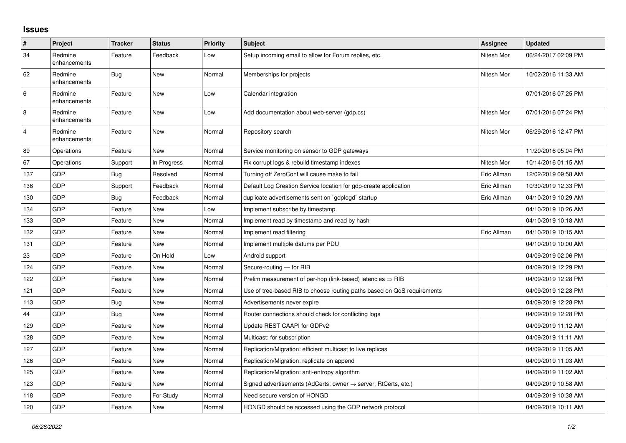## **Issues**

| #              | Project                 | <b>Tracker</b> | <b>Status</b> | <b>Priority</b> | <b>Subject</b>                                                          | Assignee    | <b>Updated</b>      |
|----------------|-------------------------|----------------|---------------|-----------------|-------------------------------------------------------------------------|-------------|---------------------|
| 34             | Redmine<br>enhancements | Feature        | Feedback      | Low             | Setup incoming email to allow for Forum replies, etc.                   | Nitesh Mor  | 06/24/2017 02:09 PM |
| 62             | Redmine<br>enhancements | Bug            | New           | Normal          | Memberships for projects                                                | Nitesh Mor  | 10/02/2016 11:33 AM |
| 6              | Redmine<br>enhancements | Feature        | <b>New</b>    | Low             | Calendar integration                                                    |             | 07/01/2016 07:25 PM |
| $\overline{8}$ | Redmine<br>enhancements | Feature        | <b>New</b>    | Low             | Add documentation about web-server (gdp.cs)                             | Nitesh Mor  | 07/01/2016 07:24 PM |
| $\overline{4}$ | Redmine<br>enhancements | Feature        | <b>New</b>    | Normal          | Repository search                                                       | Nitesh Mor  | 06/29/2016 12:47 PM |
| 89             | Operations              | Feature        | New           | Normal          | Service monitoring on sensor to GDP gateways                            |             | 11/20/2016 05:04 PM |
| 67             | Operations              | Support        | In Progress   | Normal          | Fix corrupt logs & rebuild timestamp indexes                            | Nitesh Mor  | 10/14/2016 01:15 AM |
| 137            | GDP                     | Bug            | Resolved      | Normal          | Turning off ZeroConf will cause make to fail                            | Eric Allman | 12/02/2019 09:58 AM |
| 136            | <b>GDP</b>              | Support        | Feedback      | Normal          | Default Log Creation Service location for gdp-create application        | Eric Allman | 10/30/2019 12:33 PM |
| 130            | GDP                     | Bug            | Feedback      | Normal          | duplicate advertisements sent on `gdplogd` startup                      | Eric Allman | 04/10/2019 10:29 AM |
| 134            | GDP                     | Feature        | <b>New</b>    | Low             | Implement subscribe by timestamp                                        |             | 04/10/2019 10:26 AM |
| 133            | <b>GDP</b>              | Feature        | <b>New</b>    | Normal          | Implement read by timestamp and read by hash                            |             | 04/10/2019 10:18 AM |
| 132            | <b>GDP</b>              | Feature        | <b>New</b>    | Normal          | Implement read filtering                                                | Eric Allman | 04/10/2019 10:15 AM |
| 131            | GDP                     | Feature        | New           | Normal          | Implement multiple datums per PDU                                       |             | 04/10/2019 10:00 AM |
| 23             | <b>GDP</b>              | Feature        | On Hold       | Low             | Android support                                                         |             | 04/09/2019 02:06 PM |
| 124            | GDP                     | Feature        | New           | Normal          | Secure-routing - for RIB                                                |             | 04/09/2019 12:29 PM |
| 122            | GDP                     | Feature        | New           | Normal          | Prelim measurement of per-hop (link-based) latencies $\Rightarrow$ RIB  |             | 04/09/2019 12:28 PM |
| 121            | <b>GDP</b>              | Feature        | New           | Normal          | Use of tree-based RIB to choose routing paths based on QoS requirements |             | 04/09/2019 12:28 PM |
| 113            | <b>GDP</b>              | Bug            | <b>New</b>    | Normal          | Advertisements never expire                                             |             | 04/09/2019 12:28 PM |
| 44             | GDP                     | Bug            | <b>New</b>    | Normal          | Router connections should check for conflicting logs                    |             | 04/09/2019 12:28 PM |
| 129            | <b>GDP</b>              | Feature        | New           | Normal          | Update REST CAAPI for GDPv2                                             |             | 04/09/2019 11:12 AM |
| 128            | GDP                     | Feature        | <b>New</b>    | Normal          | Multicast: for subscription                                             |             | 04/09/2019 11:11 AM |
| 127            | GDP                     | Feature        | New           | Normal          | Replication/Migration: efficient multicast to live replicas             |             | 04/09/2019 11:05 AM |
| 126            | <b>GDP</b>              | Feature        | <b>New</b>    | Normal          | Replication/Migration: replicate on append                              |             | 04/09/2019 11:03 AM |
| 125            | GDP                     | Feature        | New           | Normal          | Replication/Migration: anti-entropy algorithm                           |             | 04/09/2019 11:02 AM |
| 123            | GDP                     | Feature        | <b>New</b>    | Normal          | Signed advertisements (AdCerts: owner → server, RtCerts, etc.)          |             | 04/09/2019 10:58 AM |
| 118            | <b>GDP</b>              | Feature        | For Study     | Normal          | Need secure version of HONGD                                            |             | 04/09/2019 10:38 AM |
| 120            | GDP                     | Feature        | <b>New</b>    | Normal          | HONGD should be accessed using the GDP network protocol                 |             | 04/09/2019 10:11 AM |